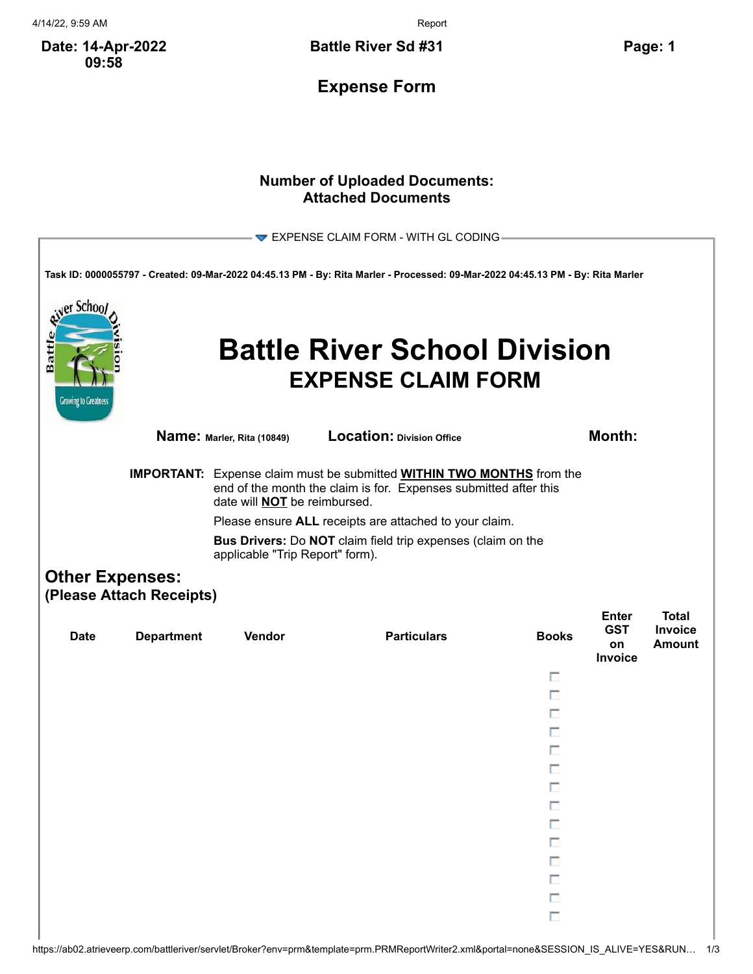4/14/22, 9:59 AM Report

**Date: 14-Apr-2022 09:58**

**Battle River Sd #31 Page: 1**

**Expense Form**

## **Number of Uploaded Documents: Attached Documents**

|                                                                                                                                                                                                |                                                                                                |                            | EXPENSE CLAIM FORM - WITH GL CODING-                                                                                            |                  |                                                    |                                          |  |  |
|------------------------------------------------------------------------------------------------------------------------------------------------------------------------------------------------|------------------------------------------------------------------------------------------------|----------------------------|---------------------------------------------------------------------------------------------------------------------------------|------------------|----------------------------------------------------|------------------------------------------|--|--|
|                                                                                                                                                                                                |                                                                                                |                            | Task ID: 0000055797 - Created: 09-Mar-2022 04:45.13 PM - By: Rita Marler - Processed: 09-Mar-2022 04:45.13 PM - By: Rita Marler |                  |                                                    |                                          |  |  |
| er Schoo<br>Batt<br><b>Growing to Greatness</b>                                                                                                                                                |                                                                                                |                            | <b>Battle River School Division</b><br><b>EXPENSE CLAIM FORM</b>                                                                |                  |                                                    |                                          |  |  |
|                                                                                                                                                                                                |                                                                                                | Name: Marler, Rita (10849) | Location: Division Office                                                                                                       |                  | <b>Month:</b>                                      |                                          |  |  |
| <b>IMPORTANT:</b> Expense claim must be submitted <b>WITHIN TWO MONTHS</b> from the<br>end of the month the claim is for. Expenses submitted after this<br>date will <b>NOT</b> be reimbursed. |                                                                                                |                            |                                                                                                                                 |                  |                                                    |                                          |  |  |
| Please ensure ALL receipts are attached to your claim.                                                                                                                                         |                                                                                                |                            |                                                                                                                                 |                  |                                                    |                                          |  |  |
|                                                                                                                                                                                                | Bus Drivers: Do NOT claim field trip expenses (claim on the<br>applicable "Trip Report" form). |                            |                                                                                                                                 |                  |                                                    |                                          |  |  |
|                                                                                                                                                                                                | <b>Other Expenses:</b><br>(Please Attach Receipts)                                             |                            |                                                                                                                                 |                  |                                                    |                                          |  |  |
| <b>Date</b>                                                                                                                                                                                    | <b>Department</b>                                                                              | <b>Vendor</b>              | <b>Particulars</b>                                                                                                              | <b>Books</b>     | <b>Enter</b><br><b>GST</b><br>on<br><b>Invoice</b> | <b>Total</b><br><b>Invoice</b><br>Amount |  |  |
|                                                                                                                                                                                                |                                                                                                |                            |                                                                                                                                 | п                |                                                    |                                          |  |  |
|                                                                                                                                                                                                |                                                                                                |                            |                                                                                                                                 | П                |                                                    |                                          |  |  |
|                                                                                                                                                                                                |                                                                                                |                            |                                                                                                                                 | П                |                                                    |                                          |  |  |
|                                                                                                                                                                                                |                                                                                                |                            |                                                                                                                                 | п                |                                                    |                                          |  |  |
|                                                                                                                                                                                                |                                                                                                |                            |                                                                                                                                 |                  |                                                    |                                          |  |  |
|                                                                                                                                                                                                |                                                                                                |                            |                                                                                                                                 | п                |                                                    |                                          |  |  |
|                                                                                                                                                                                                |                                                                                                |                            |                                                                                                                                 | П                |                                                    |                                          |  |  |
|                                                                                                                                                                                                |                                                                                                |                            |                                                                                                                                 | П                |                                                    |                                          |  |  |
|                                                                                                                                                                                                |                                                                                                |                            |                                                                                                                                 | $\Box$           |                                                    |                                          |  |  |
|                                                                                                                                                                                                |                                                                                                |                            |                                                                                                                                 | $\Box$           |                                                    |                                          |  |  |
|                                                                                                                                                                                                |                                                                                                |                            |                                                                                                                                 | $\Box$<br>$\Box$ |                                                    |                                          |  |  |
|                                                                                                                                                                                                |                                                                                                |                            |                                                                                                                                 | $\Box$           |                                                    |                                          |  |  |
|                                                                                                                                                                                                |                                                                                                |                            |                                                                                                                                 | $\Box$           |                                                    |                                          |  |  |
|                                                                                                                                                                                                |                                                                                                |                            |                                                                                                                                 |                  |                                                    |                                          |  |  |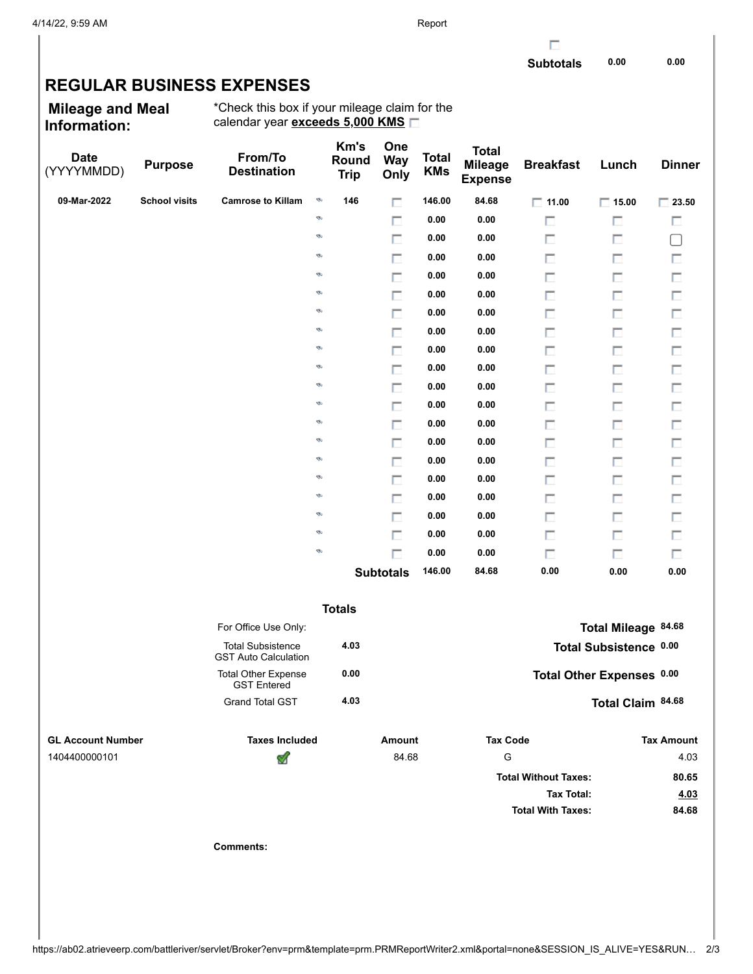г

## **REGULAR BUSINESS EXPENSES**

**Mileage and Meal Information:**

\*Check this box if your mileage claim for the calendar year **exceeds 5,000 KMS**

| <b>Date</b><br>(YYYYMMDD) | <b>Purpose</b>       | From/To<br><b>Destination</b>                           |   | Km's<br>Round<br><b>Trip</b> | One<br><b>Way</b><br>Only | <b>Total</b><br><b>KMs</b> | <b>Total</b><br><b>Mileage</b><br><b>Expense</b> | <b>Breakfast</b>            | Lunch                     | <b>Dinner</b>     |
|---------------------------|----------------------|---------------------------------------------------------|---|------------------------------|---------------------------|----------------------------|--------------------------------------------------|-----------------------------|---------------------------|-------------------|
| 09-Mar-2022               | <b>School visits</b> | <b>Camrose to Killam</b>                                | D | 146                          | П                         | 146.00                     | 84.68                                            | $\Box$ 11.00                | $\Box$ 15.00              | $\Box$ 23.50      |
|                           |                      |                                                         | ø |                              | П                         | 0.00                       | 0.00                                             | П                           | П                         | п                 |
|                           |                      |                                                         | ø |                              | п                         | 0.00                       | 0.00                                             | п                           | п                         | $\Box$            |
|                           |                      |                                                         | ø |                              | п                         | 0.00                       | 0.00                                             | П                           | П                         | П                 |
|                           |                      |                                                         | ø |                              | $\Box$                    | 0.00                       | 0.00                                             | П                           | П                         | П                 |
|                           |                      |                                                         | ø |                              | п                         | 0.00                       | 0.00                                             | П                           | П                         | П                 |
|                           |                      |                                                         | ø |                              | П                         | 0.00                       | 0.00                                             | П                           | П                         | $\Box$            |
|                           |                      |                                                         | ø |                              | п                         | 0.00                       | 0.00                                             | П                           | П                         | П                 |
|                           |                      |                                                         | ø |                              | П                         | 0.00                       | 0.00                                             | П                           | п                         | П                 |
|                           |                      |                                                         | ø |                              | п                         | 0.00                       | 0.00                                             | П                           | П                         | П                 |
|                           |                      |                                                         | ø |                              | П                         | 0.00                       | 0.00                                             | П                           | П                         | $\Box$            |
|                           |                      |                                                         | ø |                              | п                         | 0.00                       | 0.00                                             | П                           | П                         | П                 |
|                           |                      |                                                         | ø |                              | П                         | 0.00                       | 0.00                                             | П                           | п                         | П                 |
|                           |                      |                                                         | ø |                              | п                         | 0.00                       | 0.00                                             | П                           | П                         | П                 |
|                           |                      |                                                         | ø |                              | П                         | 0.00                       | 0.00                                             | П                           | П                         | $\Box$            |
|                           |                      |                                                         | ø |                              | п                         | 0.00                       | 0.00                                             | П                           | П                         | П                 |
|                           |                      |                                                         | ø |                              | П                         | 0.00                       | 0.00                                             | П                           | п                         | П                 |
|                           |                      |                                                         | ø |                              | п                         | 0.00                       | 0.00                                             | П                           | П                         | П                 |
|                           |                      |                                                         | ø |                              | $\Box$                    | 0.00                       | 0.00                                             | П                           | п                         | $\Box$            |
|                           |                      |                                                         | ø |                              | П                         | 0.00                       | 0.00                                             | п                           | П                         | П                 |
|                           |                      |                                                         |   |                              | <b>Subtotals</b>          | 146.00                     | 84.68                                            | 0.00                        | 0.00                      | 0.00              |
|                           |                      |                                                         |   | <b>Totals</b>                |                           |                            |                                                  |                             |                           |                   |
|                           |                      | For Office Use Only:                                    |   |                              |                           |                            |                                                  |                             | Total Mileage 84.68       |                   |
|                           |                      | <b>Total Subsistence</b><br><b>GST Auto Calculation</b> |   | 4.03                         |                           |                            |                                                  |                             | Total Subsistence 0.00    |                   |
|                           |                      | <b>Total Other Expense</b><br><b>GST Entered</b>        |   | 0.00                         |                           |                            |                                                  |                             | Total Other Expenses 0.00 |                   |
|                           |                      | <b>Grand Total GST</b>                                  |   | 4.03                         |                           |                            |                                                  |                             | Total Claim 84.68         |                   |
| <b>GL Account Number</b>  |                      | <b>Taxes Included</b>                                   |   |                              | Amount                    |                            | <b>Tax Code</b>                                  |                             |                           | <b>Tax Amount</b> |
| 1404400000101             |                      | ᢦ                                                       |   |                              | 84.68                     |                            | ${\mathsf G}$                                    |                             |                           | 4.03              |
|                           |                      |                                                         |   |                              |                           |                            |                                                  | <b>Total Without Taxes:</b> |                           | 80.65             |
|                           |                      |                                                         |   |                              |                           |                            |                                                  | <b>Tax Total:</b>           |                           | 4.03              |
|                           |                      |                                                         |   |                              |                           |                            |                                                  | <b>Total With Taxes:</b>    |                           | 84.68             |
|                           |                      | <b>Comments:</b>                                        |   |                              |                           |                            |                                                  |                             |                           |                   |